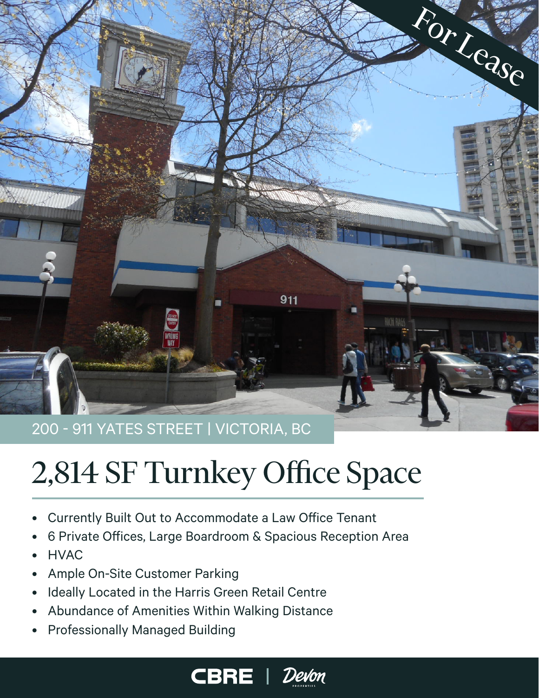

# 2,814 SF Turnkey Office Space

- Currently Built Out to Accommodate a Law Office Tenant
- 6 Private Offices, Large Boardroom & Spacious Reception Area
- HVAC
- Ample On-Site Customer Parking
- Ideally Located in the Harris Green Retail Centre
- Abundance of Amenities Within Walking Distance
- Professionally Managed Building



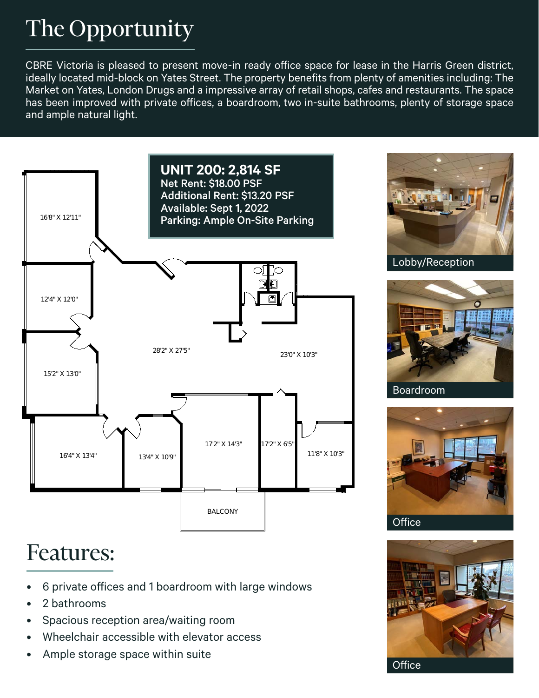# The Opportunity

CBRE Victoria is pleased to present move-in ready office space for lease in the Harris Green district, ideally located mid-block on Yates Street. The property benefits from plenty of amenities including: The Market on Yates, London Drugs and a impressive array of retail shops, cafes and restaurants. The space has been improved with private offices, a boardroom, two in-suite bathrooms, plenty of storage space and ample natural light.



# Features:

- 6 private offices and 1 boardroom with large windows
- 2 bathrooms
- Spacious reception area/waiting room
- Wheelchair accessible with elevator access
- Ample storage space within suite